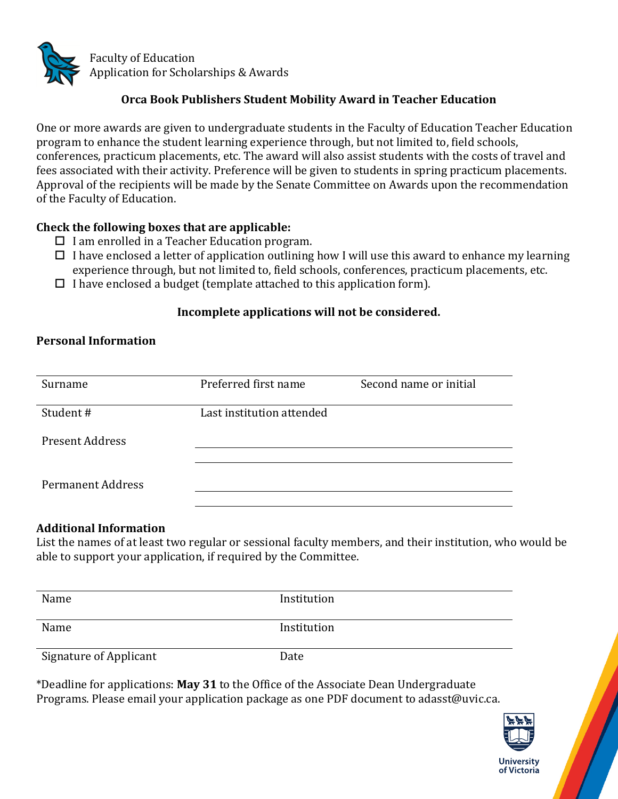

## **Orca Book Publishers Student Mobility Award in Teacher Education**

One or more awards are given to undergraduate students in the Faculty of Education Teacher Education program to enhance the student learning experience through, but not limited to, field schools, conferences, practicum placements, etc. The award will also assist students with the costs of travel and fees associated with their activity. Preference will be given to students in spring practicum placements. Approval of the recipients will be made by the Senate Committee on Awards upon the recommendation of the Faculty of Education.

#### **Check the following boxes that are applicable:**

- $\Box$  I am enrolled in a Teacher Education program.
- $\Box$  I have enclosed a letter of application outlining how I will use this award to enhance my learning experience through, but not limited to, field schools, conferences, practicum placements, etc.
- $\Box$  I have enclosed a budget (template attached to this application form).

### **Incomplete applications will not be considered.**

#### **Personal Information**

| Preferred first name      | Second name or initial |
|---------------------------|------------------------|
| Last institution attended |                        |
|                           |                        |
|                           |                        |
|                           |                        |
|                           |                        |

#### **Additional Information**

List the names of at least two regular or sessional faculty members, and their institution, who would be able to support your application, if required by the Committee.

| Name                          | Institution |  |
|-------------------------------|-------------|--|
| Name                          | Institution |  |
| <b>Signature of Applicant</b> | Date        |  |

\*Deadline for applications: **May 31** to the Office of the Associate Dean Undergraduate Programs. Please email your application package as one PDF document to adasst@uvic.ca.